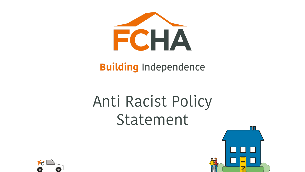

#### **Building Independence**

# Anti Racist Policy Statement



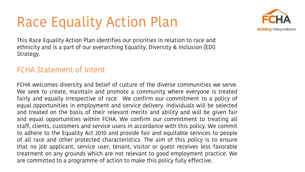#### Race Equality Action Plan



This Race Equality Action Plan identifies our priorities in relation to race and ethnicity and is a part of our overarching Equality, Diversity & Inclusion (EDI) Strategy.

#### FCHA Statement of Intent

FCHA welcomes diversity and belief of culture of the diverse communities we serve. We seek to create, maintain and promote a community where everyone is treated fairly and equally irrespective of race. We confirm our commitment to a policy of equal opportunities in employment and service delivery. Individuals will be selected and treated on the basis of their relevant merits and ability and will be given fair and equal opportunities within FCHA. We confirm our commitment to treating all staff, clients, customers and service users in accordance with this policy. We commit to adhere to the Equality Act 2010 and provide fair and equitable services to people of all race and other protected characteristics. The aim of this policy is to ensure that no job applicant, service user, tenant, visitor or guest receives less favorable treatment on any grounds which are not relevant to good employment practice. We are committed to a programme of action to make this policy fully effective.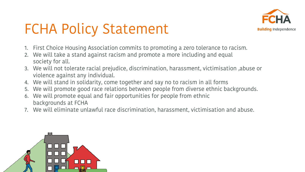

## FCHA Policy Statement

- 1. First Choice Housing Association commits to promoting a zero tolerance to racism.
- 2. We will take a stand against racism and promote a more including and equal society for all.
- 3. We will not tolerate racial prejudice, discrimination, harassment, victimisation ,abuse or violence against any individual.
- 4. We will stand in solidarity, come together and say no to racism in all forms
- 5. We will promote good race relations between people from diverse ethnic backgrounds.
- 6. We will promote equal and fair opportunities for people from ethnic backgrounds at FCHA
- 7. We will eliminate unlawful race discrimination, harassment, victimisation and abuse.

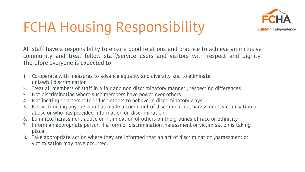## FCHA Housing Responsibility



All staff have a responsibility to ensure good relations and practice to achieve an inclusive community and treat fellow staff/service users and visitors with respect and dignity. Therefore everyone is expected to

- 1. Co-operate with measures to advance equality and diversity and to eliminate unlawful discrimination
- 2. Treat all members of staff in a fair and non discriminatory manner , respecting differences
- 3. Not discriminating where such members have power over others
- 4. Not inciting or attempt to induce others to behave in discriminatory ways
- 5. Not victimising anyone who has made a complaint of discrimination, harassment, victimisation or abuse or who has provided information on discrimination
- 6. Eliminate harassment abuse or intimidation of others on the grounds of race or ethnicity
- 7. Inform an appropriate person if a form of discrimination ,harassment or victimisation is taking place
- 8. Take appropriate action where they are informed that an act of discrimination ,harassment or victimisation may have occurred.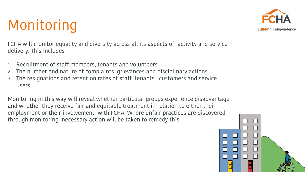### Monitoring

FCHA will monitor equality and diversity across all its aspects of activity and service delivery. This includes

- 1. Recruitment of staff members, tenants and volunteers
- 2. The number and nature of complaints, grievances and disciplinary actions
- 3. The resignations and retention rates of staff ,tenants , customers and service users.

Monitoring in this way will reveal whether particular groups experience disadvantage and whether they receive fair and equitable treatment in relation to either their employment or their involvement with FCHA. Where unfair practices are discovered through monitoring necessary action will be taken to remedy this.